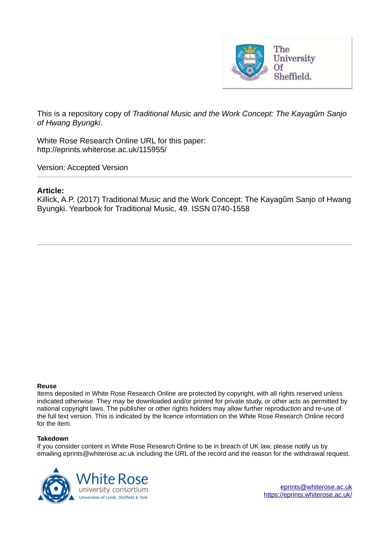

This is a repository copy of *Traditional Music and the Work Concept: The Kayagŭm Sanjo of Hwang Byungki*.

White Rose Research Online URL for this paper: http://eprints.whiterose.ac.uk/115955/

Version: Accepted Version

# **Article:**

Killick, A.P. (2017) Traditional Music and the Work Concept: The Kayagŭm Sanjo of Hwang Byungki. Yearbook for Traditional Music, 49. ISSN 0740-1558

#### **Reuse**

Items deposited in White Rose Research Online are protected by copyright, with all rights reserved unless indicated otherwise. They may be downloaded and/or printed for private study, or other acts as permitted by national copyright laws. The publisher or other rights holders may allow further reproduction and re-use of the full text version. This is indicated by the licence information on the White Rose Research Online record for the item.

#### **Takedown**

If you consider content in White Rose Research Online to be in breach of UK law, please notify us by emailing eprints@whiterose.ac.uk including the URL of the record and the reason for the withdrawal request.



[eprints@whiterose.ac.uk](mailto:eprints@whiterose.ac.uk) <https://eprints.whiterose.ac.uk/>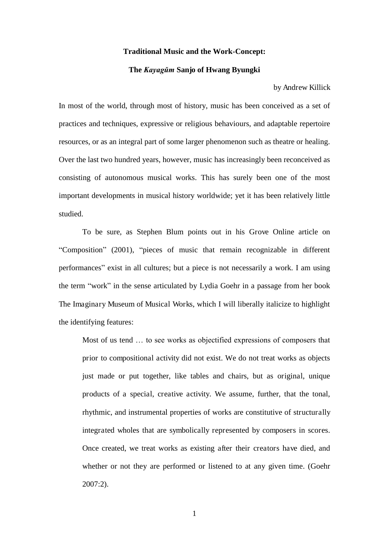## **Traditional Music and the Work-Concept:**

#### **The** *Kayag┥m* **Sanjo of Hwang Byungki**

by Andrew Killick

In most of the world, through most of history, music has been conceived as a set of practices and techniques, expressive or religious behaviours, and adaptable repertoire resources, or as an integral part of some larger phenomenon such as theatre or healing. Over the last two hundred years, however, music has increasingly been reconceived as consisting of autonomous musical works. This has surely been one of the most important developments in musical history worldwide; yet it has been relatively little studied.

To be sure, as Stephen Blum points out in his Grove Online article on "Composition" (2001), "pieces of music that remain recognizable in different performances" exist in all cultures; but a piece is not necessarily a work. I am using the term "work" in the sense articulated by Lydia Goehr in a passage from her book The Imaginary Museum of Musical Works, which I will liberally italicize to highlight the identifying features:

Most of us tend … to see works as objectified expressions of composers that prior to compositional activity did not exist. We do not treat works as objects just made or put together, like tables and chairs, but as original, unique products of a special, creative activity. We assume, further, that the tonal, rhythmic, and instrumental properties of works are constitutive of structurally integrated wholes that are symbolically represented by composers in scores. Once created, we treat works as existing after their creators have died, and whether or not they are performed or listened to at any given time. (Goehr 2007:2).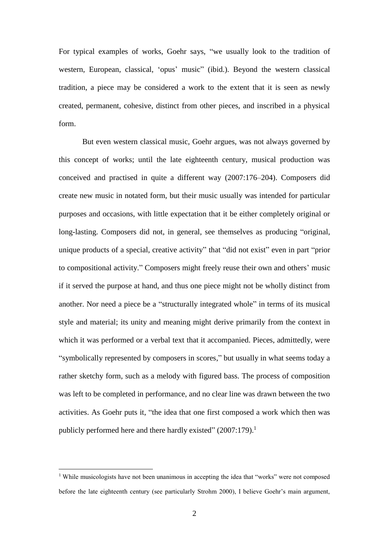For typical examples of works, Goehr says, "we usually look to the tradition of western, European, classical, 'opus' music" (ibid.). Beyond the western classical tradition, a piece may be considered a work to the extent that it is seen as newly created, permanent, cohesive, distinct from other pieces, and inscribed in a physical form.

But even western classical music, Goehr argues, was not always governed by this concept of works; until the late eighteenth century, musical production was conceived and practised in quite a different way (2007:176–204). Composers did create new music in notated form, but their music usually was intended for particular purposes and occasions, with little expectation that it be either completely original or long-lasting. Composers did not, in general, see themselves as producing "original, unique products of a special, creative activity" that "did not exist" even in part "prior to compositional activity." Composers might freely reuse their own and others' music if it served the purpose at hand, and thus one piece might not be wholly distinct from another. Nor need a piece be a "structurally integrated whole" in terms of its musical style and material; its unity and meaning might derive primarily from the context in which it was performed or a verbal text that it accompanied. Pieces, admittedly, were "symbolically represented by composers in scores," but usually in what seems today a rather sketchy form, such as a melody with figured bass. The process of composition was left to be completed in performance, and no clear line was drawn between the two activities. As Goehr puts it, "the idea that one first composed a work which then was publicly performed here and there hardly existed"  $(2007:179).$ <sup>1</sup>

<u>.</u>

<sup>&</sup>lt;sup>1</sup> While musicologists have not been unanimous in accepting the idea that "works" were not composed before the late eighteenth century (see particularly Strohm 2000), I believe Goehr's main argument,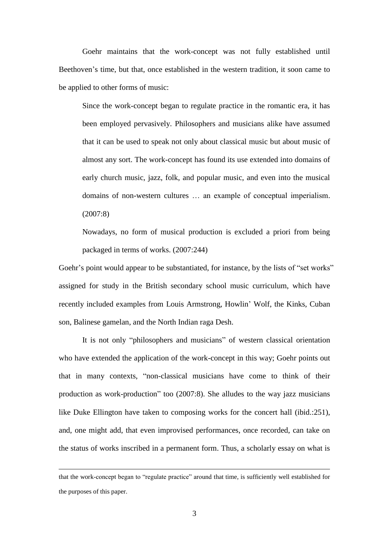Goehr maintains that the work-concept was not fully established until Beethoven's time, but that, once established in the western tradition, it soon came to be applied to other forms of music:

Since the work-concept began to regulate practice in the romantic era, it has been employed pervasively. Philosophers and musicians alike have assumed that it can be used to speak not only about classical music but about music of almost any sort. The work-concept has found its use extended into domains of early church music, jazz, folk, and popular music, and even into the musical domains of non-western cultures … an example of conceptual imperialism. (2007:8)

Nowadays, no form of musical production is excluded a priori from being packaged in terms of works. (2007:244)

Goehr's point would appear to be substantiated, for instance, by the lists of "set works" assigned for study in the British secondary school music curriculum, which have recently included examples from Louis Armstrong, Howlin' Wolf, the Kinks, Cuban son, Balinese gamelan, and the North Indian raga Desh.

It is not only "philosophers and musicians" of western classical orientation who have extended the application of the work-concept in this way; Goehr points out that in many contexts, "non-classical musicians have come to think of their production as work-production" too (2007:8). She alludes to the way jazz musicians like Duke Ellington have taken to composing works for the concert hall (ibid.:251), and, one might add, that even improvised performances, once recorded, can take on the status of works inscribed in a permanent form. Thus, a scholarly essay on what is

<u>.</u>

that the work-concept began to "regulate practice" around that time, is sufficiently well established for the purposes of this paper.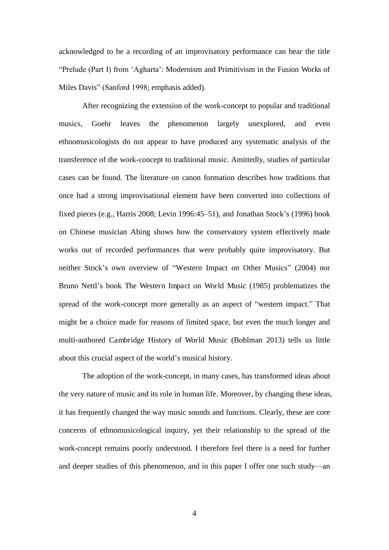acknowledged to be a recording of an improvisatory performance can bear the title "Prelude (Part I) from 'Agharta': Modernism and Primitivism in the Fusion Works of Miles Davis" (Sanford 1998; emphasis added).

After recognizing the extension of the work-concept to popular and traditional musics, Goehr leaves the phenomenon largely unexplored, and even ethnomusicologists do not appear to have produced any systematic analysis of the transference of the work-concept to traditional music. Amittedly, studies of particular cases can be found. The literature on canon formation describes how traditions that once had a strong improvisational element have been converted into collections of fixed pieces (e.g., Harris 2008; Levin 1996:45–51), and Jonathan Stock's (1996) book on Chinese musician Abing shows how the conservatory system effectively made works out of recorded performances that were probably quite improvisatory. But neither Stock's own overview of "Western Impact on Other Musics" (2004) nor Bruno Nettl's book The Western Impact on World Music (1985) problematizes the spread of the work-concept more generally as an aspect of "western impact." That might be a choice made for reasons of limited space, but even the much longer and multi-authored Cambridge History of World Music (Bohlman 2013) tells us little about this crucial aspect of the world's musical history.

The adoption of the work-concept, in many cases, has transformed ideas about the very nature of music and its role in human life. Moreover, by changing these ideas, it has frequently changed the way music sounds and functions. Clearly, these are core concerns of ethnomusicological inquiry, yet their relationship to the spread of the work-concept remains poorly understood. I therefore feel there is a need for further and deeper studies of this phenomenon, and in this paper I offer one such study—an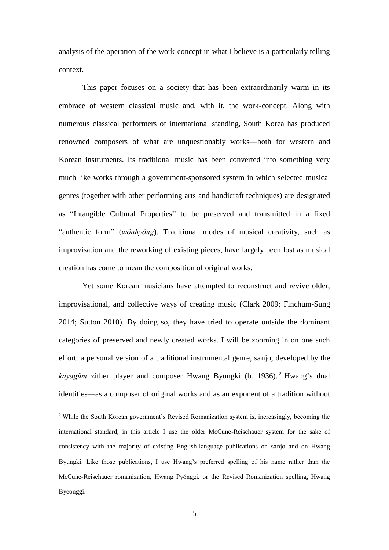analysis of the operation of the work-concept in what I believe is a particularly telling context.

This paper focuses on a society that has been extraordinarily warm in its embrace of western classical music and, with it, the work-concept. Along with numerous classical performers of international standing, South Korea has produced renowned composers of what are unquestionably works—both for western and Korean instruments. Its traditional music has been converted into something very much like works through a government-sponsored system in which selected musical genres (together with other performing arts and handicraft techniques) are designated as "Intangible Cultural Properties" to be preserved and transmitted in a fixed "authentic form" (*wŏnhyŏng*). Traditional modes of musical creativity, such as improvisation and the reworking of existing pieces, have largely been lost as musical creation has come to mean the composition of original works.

Yet some Korean musicians have attempted to reconstruct and revive older, improvisational, and collective ways of creating music (Clark 2009; Finchum-Sung 2014; Sutton 2010). By doing so, they have tried to operate outside the dominant categories of preserved and newly created works. I will be zooming in on one such effort: a personal version of a traditional instrumental genre, sanjo, developed by the kayagŭm zither player and composer Hwang Byungki (b. 1936).<sup>2</sup> Hwang's dual identities—as a composer of original works and as an exponent of a tradition without

<u>.</u>

<sup>2</sup> While the South Korean government's Revised Romanization system is, increasingly, becoming the international standard, in this article I use the older McCune-Reischauer system for the sake of consistency with the majority of existing English-language publications on sanjo and on Hwang Byungki. Like those publications, I use Hwang's preferred spelling of his name rather than the McCune-Reischauer romanization, Hwang Pyŏnggi, or the Revised Romanization spelling, Hwang Byeonggi.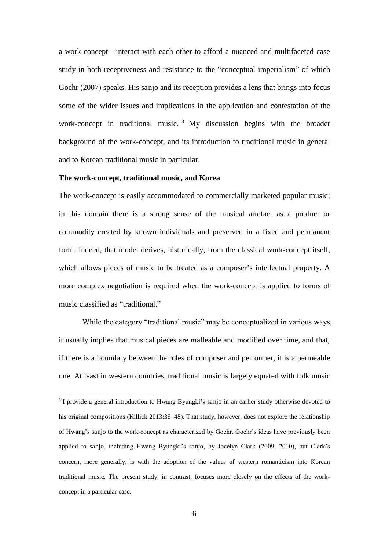a work-concept—interact with each other to afford a nuanced and multifaceted case study in both receptiveness and resistance to the "conceptual imperialism" of which Goehr (2007) speaks. His sanjo and its reception provides a lens that brings into focus some of the wider issues and implications in the application and contestation of the work-concept in traditional music.<sup>3</sup> My discussion begins with the broader background of the work-concept, and its introduction to traditional music in general and to Korean traditional music in particular.

## **The work-concept, traditional music, and Korea**

<u>.</u>

The work-concept is easily accommodated to commercially marketed popular music; in this domain there is a strong sense of the musical artefact as a product or commodity created by known individuals and preserved in a fixed and permanent form. Indeed, that model derives, historically, from the classical work-concept itself, which allows pieces of music to be treated as a composer's intellectual property. A more complex negotiation is required when the work-concept is applied to forms of music classified as "traditional."

While the category "traditional music" may be conceptualized in various ways, it usually implies that musical pieces are malleable and modified over time, and that, if there is a boundary between the roles of composer and performer, it is a permeable one. At least in western countries, traditional music is largely equated with folk music

<sup>&</sup>lt;sup>3</sup> I provide a general introduction to Hwang Byungki's sanjo in an earlier study otherwise devoted to his original compositions (Killick 2013:35–48). That study, however, does not explore the relationship of Hwang's sanjo to the work-concept as characterized by Goehr. Goehr's ideas have previously been applied to sanjo, including Hwang Byungki's sanjo, by Jocelyn Clark (2009, 2010), but Clark's concern, more generally, is with the adoption of the values of western romanticism into Korean traditional music. The present study, in contrast, focuses more closely on the effects of the workconcept in a particular case.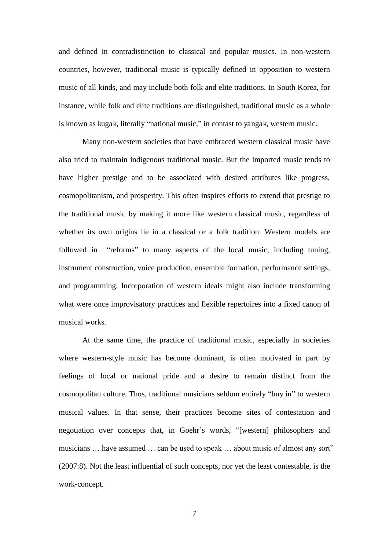and defined in contradistinction to classical and popular musics. In non-western countries, however, traditional music is typically defined in opposition to western music of all kinds, and may include both folk and elite traditions. In South Korea, for instance, while folk and elite traditions are distinguished, traditional music as a whole is known as kugak, literally "national music," in contast to yangak, western music.

Many non-western societies that have embraced western classical music have also tried to maintain indigenous traditional music. But the imported music tends to have higher prestige and to be associated with desired attributes like progress, cosmopolitanism, and prosperity. This often inspires efforts to extend that prestige to the traditional music by making it more like western classical music, regardless of whether its own origins lie in a classical or a folk tradition. Western models are followed in "reforms" to many aspects of the local music, including tuning, instrument construction, voice production, ensemble formation, performance settings, and programming. Incorporation of western ideals might also include transforming what were once improvisatory practices and flexible repertoires into a fixed canon of musical works.

At the same time, the practice of traditional music, especially in societies where western-style music has become dominant, is often motivated in part by feelings of local or national pride and a desire to remain distinct from the cosmopolitan culture. Thus, traditional musicians seldom entirely "buy in" to western musical values. In that sense, their practices become sites of contestation and negotiation over concepts that, in Goehr's words, "[western] philosophers and musicians … have assumed … can be used to speak … about music of almost any sort" (2007:8). Not the least influential of such concepts, nor yet the least contestable, is the work-concept.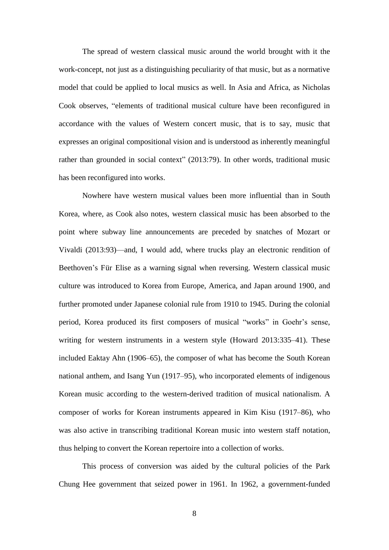The spread of western classical music around the world brought with it the work-concept, not just as a distinguishing peculiarity of that music, but as a normative model that could be applied to local musics as well. In Asia and Africa, as Nicholas Cook observes, "elements of traditional musical culture have been reconfigured in accordance with the values of Western concert music, that is to say, music that expresses an original compositional vision and is understood as inherently meaningful rather than grounded in social context" (2013:79). In other words, traditional music has been reconfigured into works.

Nowhere have western musical values been more influential than in South Korea, where, as Cook also notes, western classical music has been absorbed to the point where subway line announcements are preceded by snatches of Mozart or Vivaldi (2013:93)—and, I would add, where trucks play an electronic rendition of Beethoven's Für Elise as a warning signal when reversing. Western classical music culture was introduced to Korea from Europe, America, and Japan around 1900, and further promoted under Japanese colonial rule from 1910 to 1945. During the colonial period, Korea produced its first composers of musical "works" in Goehr's sense, writing for western instruments in a western style (Howard 2013:335–41). These included Eaktay Ahn (1906–65), the composer of what has become the South Korean national anthem, and Isang Yun (1917–95), who incorporated elements of indigenous Korean music according to the western-derived tradition of musical nationalism. A composer of works for Korean instruments appeared in Kim Kisu (1917–86), who was also active in transcribing traditional Korean music into western staff notation, thus helping to convert the Korean repertoire into a collection of works.

This process of conversion was aided by the cultural policies of the Park Chung Hee government that seized power in 1961. In 1962, a government-funded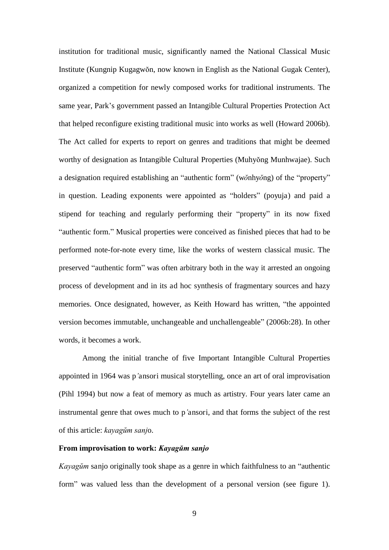institution for traditional music, significantly named the National Classical Music Institute (Kungnip Kugagwŏn, now known in English as the National Gugak Center), organized a competition for newly composed works for traditional instruments. The same year, Park's government passed an Intangible Cultural Properties Protection Act that helped reconfigure existing traditional music into works as well (Howard 2006b). The Act called for experts to report on genres and traditions that might be deemed worthy of designation as Intangible Cultural Properties (Muhyŏng Munhwajae). Such a designation required establishing an "authentic form" (wonhyong) of the "property" in question. Leading exponents were appointed as "holders" (poyuja) and paid a stipend for teaching and regularly performing their "property" in its now fixed "authentic form." Musical properties were conceived as finished pieces that had to be performed note-for-note every time, like the works of western classical music. The preserved "authentic form" was often arbitrary both in the way it arrested an ongoing process of development and in its ad hoc synthesis of fragmentary sources and hazy memories. Once designated, however, as Keith Howard has written, "the appointed version becomes immutable, unchangeable and unchallengeable" (2006b:28). In other words, it becomes a work.

Among the initial tranche of five Important Intangible Cultural Properties appointed in 1964 was p*'*ansori musical storytelling, once an art of oral improvisation (Pihl 1994) but now a feat of memory as much as artistry. Four years later came an instrumental genre that owes much to p*'*ansori, and that forms the subject of the rest of this article: *kayagǔm sanjo*.

# **From improvisation to work:** *Kayagǔm sanjo*

*Kayagǔm* sanjo originally took shape as a genre in which faithfulness to an "authentic form" was valued less than the development of a personal version (see figure 1).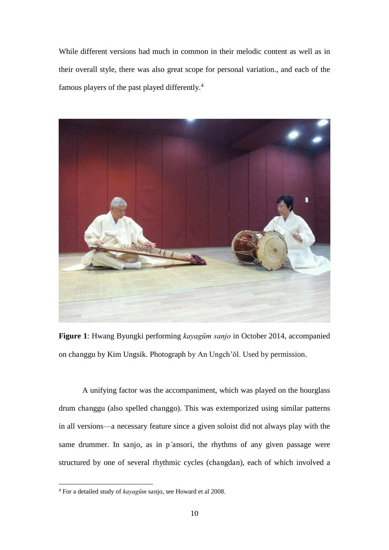While different versions had much in common in their melodic content as well as in their overall style, there was also great scope for personal variation., and each of the famous players of the past played differently.<sup>4</sup>



**Figure 1**: Hwang Byungki performing *kayagǔm sanjo* in October 2014, accompanied on changgu by Kim Ungsik. Photograph by An Ungch'ŏl. Used by permission.

A unifying factor was the accompaniment, which was played on the hourglass drum changgu (also spelled changgo). This was extemporized using similar patterns in all versions—a necessary feature since a given soloist did not always play with the same drummer. In sanjo, as in p*'*ansori, the rhythms of any given passage were structured by one of several rhythmic cycles (changdan), each of which involved a

 4 For a detailed study of *kayag┥m* sanjo, see Howard et al 2008.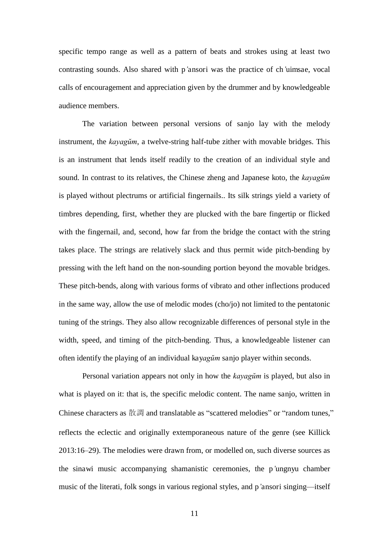specific tempo range as well as a pattern of beats and strokes using at least two contrasting sounds. Also shared with p*'*ansori was the practice of ch*'*uimsae, vocal calls of encouragement and appreciation given by the drummer and by knowledgeable audience members.

The variation between personal versions of sanjo lay with the melody instrument, the *kayagǔm*, a twelve-string half-tube zither with movable bridges. This is an instrument that lends itself readily to the creation of an individual style and sound. In contrast to its relatives, the Chinese zheng and Japanese koto, the *kayagǔm* is played without plectrums or artificial fingernails.. Its silk strings yield a variety of timbres depending, first, whether they are plucked with the bare fingertip or flicked with the fingernail, and, second, how far from the bridge the contact with the string takes place. The strings are relatively slack and thus permit wide pitch-bending by pressing with the left hand on the non-sounding portion beyond the movable bridges. These pitch-bends, along with various forms of vibrato and other inflections produced in the same way, allow the use of melodic modes (cho/jo) not limited to the pentatonic tuning of the strings. They also allow recognizable differences of personal style in the width, speed, and timing of the pitch-bending. Thus, a knowledgeable listener can often identify the playing of an individual kay*agǔm* sanjo player within seconds.

Personal variation appears not only in how the *kayagǔm* is played, but also in what is played on it: that is, the specific melodic content. The name sanjo, written in Chinese characters as 散調 and translatable as "scattered melodies" or "random tunes," reflects the eclectic and originally extemporaneous nature of the genre (see Killick 2013:16–29). The melodies were drawn from, or modelled on, such diverse sources as the sinawi music accompanying shamanistic ceremonies, the p*'*ungnyu chamber music of the literati, folk songs in various regional styles, and p*'*ansori singing—itself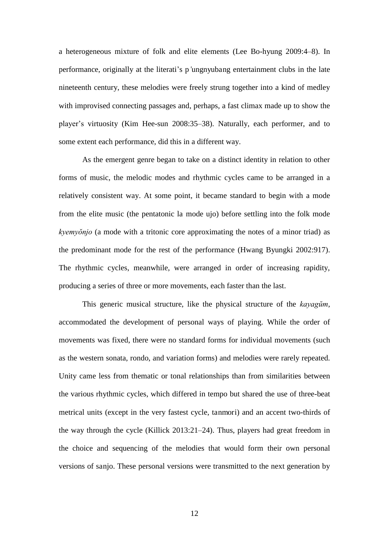a heterogeneous mixture of folk and elite elements (Lee Bo-hyung 2009:4–8). In performance, originally at the literati's p*'*ungnyubang entertainment clubs in the late nineteenth century, these melodies were freely strung together into a kind of medley with improvised connecting passages and, perhaps, a fast climax made up to show the player's virtuosity (Kim Hee-sun 2008:35–38). Naturally, each performer, and to some extent each performance, did this in a different way.

As the emergent genre began to take on a distinct identity in relation to other forms of music, the melodic modes and rhythmic cycles came to be arranged in a relatively consistent way. At some point, it became standard to begin with a mode from the elite music (the pentatonic la mode ujo) before settling into the folk mode *kyemyŏnjo* (a mode with a tritonic core approximating the notes of a minor triad) as the predominant mode for the rest of the performance (Hwang Byungki 2002:917). The rhythmic cycles, meanwhile, were arranged in order of increasing rapidity, producing a series of three or more movements, each faster than the last.

This generic musical structure, like the physical structure of the *kayagǔm*, accommodated the development of personal ways of playing. While the order of movements was fixed, there were no standard forms for individual movements (such as the western sonata, rondo, and variation forms) and melodies were rarely repeated. Unity came less from thematic or tonal relationships than from similarities between the various rhythmic cycles, which differed in tempo but shared the use of three-beat metrical units (except in the very fastest cycle, tanmori) and an accent two-thirds of the way through the cycle (Killick 2013:21–24). Thus, players had great freedom in the choice and sequencing of the melodies that would form their own personal versions of sanjo. These personal versions were transmitted to the next generation by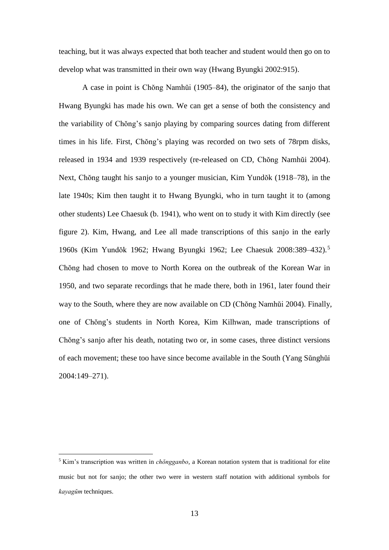teaching, but it was always expected that both teacher and student would then go on to develop what was transmitted in their own way (Hwang Byungki 2002:915).

A case in point is Chŏng Namhūi (1905–84), the originator of the sanjo that Hwang Byungki has made his own. We can get a sense of both the consistency and the variability of Chŏng's sanjo playing by comparing sources dating from different times in his life. First, Chŏng's playing was recorded on two sets of 78rpm disks, released in 1934 and 1939 respectively (re-released on CD, Chŏng Namhŭi 2004). Next, Chŏng taught his sanjo to a younger musician, Kim Yundŏk (1918–78), in the late 1940s; Kim then taught it to Hwang Byungki, who in turn taught it to (among other students) Lee Chaesuk (b. 1941), who went on to study it with Kim directly (see figure 2). Kim, Hwang, and Lee all made transcriptions of this sanjo in the early 1960s (Kim Yundŏk 1962; Hwang Byungki 1962; Lee Chaesuk 2008:389–432).<sup>5</sup> Chong had chosen to move to North Korea on the outbreak of the Korean War in 1950, and two separate recordings that he made there, both in 1961, later found their way to the South, where they are now available on CD (Chŏng Namhǔi 2004). Finally, one of Chŏng's students in North Korea, Kim Kilhwan, made transcriptions of Chŏng's sanjo after his death, notating two or, in some cases, three distinct versions of each movement; these too have since become available in the South (Yang Sŭnghŭi 2004:149–271).

<u>.</u>

<sup>&</sup>lt;sup>5</sup> Kim's transcription was written in *chŏngganbo*, a Korean notation system that is traditional for elite music but not for sanjo; the other two were in western staff notation with additional symbols for *kayag┥m* techniques.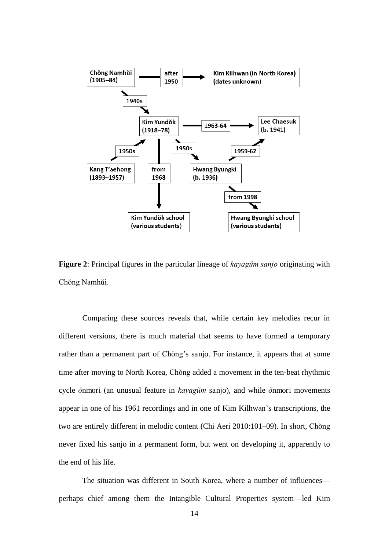

**Figure 2**: Principal figures in the particular lineage of *kayagǔm sanjo* originating with Chŏng Namhŭi.

Comparing these sources reveals that, while certain key melodies recur in different versions, there is much material that seems to have formed a temporary rather than a permanent part of Chŏng's sanjo. For instance, it appears that at some time after moving to North Korea, Chŏng added a movement in the ten-beat rhythmic cycle *┙*nmori (an unusual feature in *kayag┥m* sanjo), and while *┙*nmori movements appear in one of his 1961 recordings and in one of Kim Kilhwan's transcriptions, the two are entirely different in melodic content (Chi Aeri 2010:101–09). In short, Chŏng never fixed his sanjo in a permanent form, but went on developing it, apparently to the end of his life.

The situation was different in South Korea, where a number of influences perhaps chief among them the Intangible Cultural Properties system—led Kim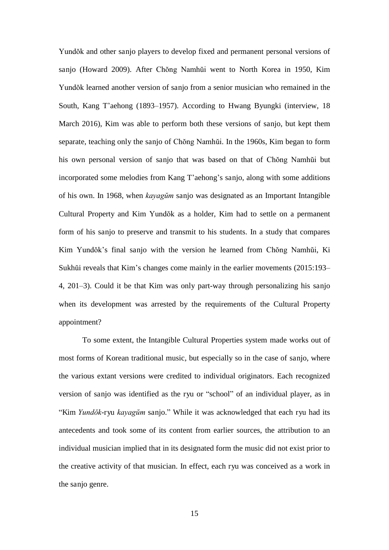Yundŏk and other sanjo players to develop fixed and permanent personal versions of sanjo (Howard 2009). After Chŏng Namhŭi went to North Korea in 1950, Kim Yundŏk learned another version of sanjo from a senior musician who remained in the South, Kang T'aehong (1893–1957). According to Hwang Byungki (interview, 18 March 2016), Kim was able to perform both these versions of sanjo, but kept them separate, teaching only the sanjo of Chŏng Namhŭi. In the 1960s, Kim began to form his own personal version of sanjo that was based on that of Chong Namhui but incorporated some melodies from Kang T'aehong's sanjo, along with some additions of his own. In 1968, when *kayagǔm* sanjo was designated as an Important Intangible Cultural Property and Kim Yundŏk as a holder, Kim had to settle on a permanent form of his sanjo to preserve and transmit to his students. In a study that compares Kim Yundŏk's final sanjo with the version he learned from Chŏng Namhŭi, Ki Sukhūi reveals that Kim's changes come mainly in the earlier movements (2015:193– 4, 201–3). Could it be that Kim was only part-way through personalizing his sanjo when its development was arrested by the requirements of the Cultural Property appointment?

To some extent, the Intangible Cultural Properties system made works out of most forms of Korean traditional music, but especially so in the case of sanjo, where the various extant versions were credited to individual originators. Each recognized version of sanjo was identified as the ryu or "school" of an individual player, as in "Kim *Yundŏk*-ryu *kayagǔm* sanjo." While it was acknowledged that each ryu had its antecedents and took some of its content from earlier sources, the attribution to an individual musician implied that in its designated form the music did not exist prior to the creative activity of that musician. In effect, each ryu was conceived as a work in the sanjo genre.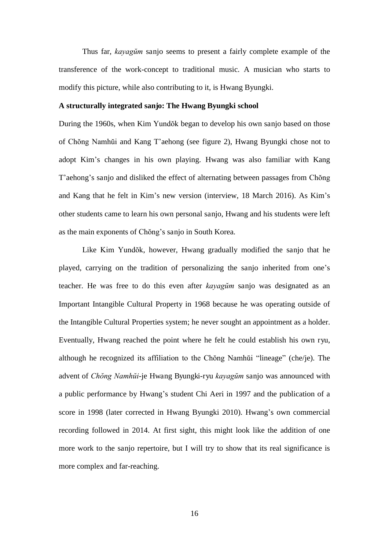Thus far, *kayagǔm* sanjo seems to present a fairly complete example of the transference of the work-concept to traditional music. A musician who starts to modify this picture, while also contributing to it, is Hwang Byungki.

## **A structurally integrated sanjo: The Hwang Byungki school**

During the 1960s, when Kim Yundŏk began to develop his own sanjo based on those of Chŏng Namhŭi and Kang T'aehong (see figure 2), Hwang Byungki chose not to adopt Kim's changes in his own playing. Hwang was also familiar with Kang T'aehong's sanjo and disliked the effect of alternating between passages from Chŏng and Kang that he felt in Kim's new version (interview, 18 March 2016). As Kim's other students came to learn his own personal sanjo, Hwang and his students were left as the main exponents of Chŏng's sanjo in South Korea.

Like Kim Yundŏk, however, Hwang gradually modified the sanjo that he played, carrying on the tradition of personalizing the sanjo inherited from one's teacher. He was free to do this even after *kayagǔm* sanjo was designated as an Important Intangible Cultural Property in 1968 because he was operating outside of the Intangible Cultural Properties system; he never sought an appointment as a holder. Eventually, Hwang reached the point where he felt he could establish his own ryu, although he recognized its affiliation to the Chŏng Namhŭi "lineage" (che/je). The advent of *Chŏng Namhǔi*-je Hwang Byungki-ryu *kayagǔm* sanjo was announced with a public performance by Hwang's student Chi Aeri in 1997 and the publication of a score in 1998 (later corrected in Hwang Byungki 2010). Hwang's own commercial recording followed in 2014. At first sight, this might look like the addition of one more work to the sanjo repertoire, but I will try to show that its real significance is more complex and far-reaching.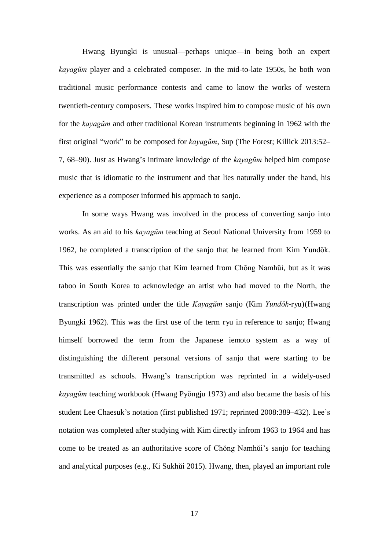Hwang Byungki is unusual—perhaps unique—in being both an expert *kayagum* player and a celebrated composer. In the mid-to-late 1950s, he both won traditional music performance contests and came to know the works of western twentieth-century composers. These works inspired him to compose music of his own for the *kayagǔm* and other traditional Korean instruments beginning in 1962 with the first original "work" to be composed for *kayagǔm*, Sup (The Forest; Killick 2013:52– 7, 68–90). Just as Hwang's intimate knowledge of the *kayagǔm* helped him compose music that is idiomatic to the instrument and that lies naturally under the hand, his experience as a composer informed his approach to sanjo.

In some ways Hwang was involved in the process of converting sanjo into works. As an aid to his *kayagǔm* teaching at Seoul National University from 1959 to 1962, he completed a transcription of the sanjo that he learned from Kim Yundŏk. This was essentially the sanjo that Kim learned from Chŏng Namhŭi, but as it was taboo in South Korea to acknowledge an artist who had moved to the North, the transcription was printed under the title *Kayagǔm* sanjo (Kim *Yundŏk*-ryu)(Hwang Byungki 1962). This was the first use of the term ryu in reference to sanjo; Hwang himself borrowed the term from the Japanese iemoto system as a way of distinguishing the different personal versions of sanjo that were starting to be transmitted as schools. Hwang's transcription was reprinted in a widely-used *kayagǔm* teaching workbook (Hwang Pyŏngju 1973) and also became the basis of his student Lee Chaesuk's notation (first published 1971; reprinted 2008:389–432). Lee's notation was completed after studying with Kim directly infrom 1963 to 1964 and has come to be treated as an authoritative score of Chŏng Namhŭi's sanjo for teaching and analytical purposes (e.g., Ki Sukhŭi 2015). Hwang, then, played an important role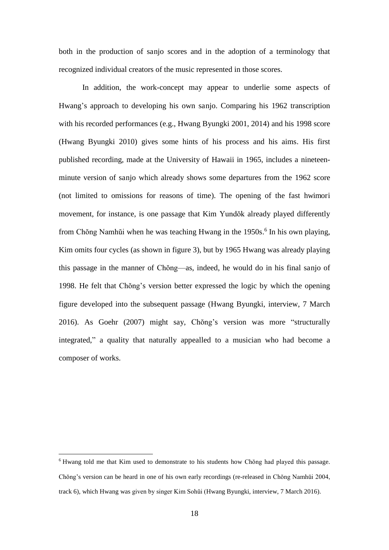both in the production of sanjo scores and in the adoption of a terminology that recognized individual creators of the music represented in those scores.

In addition, the work-concept may appear to underlie some aspects of Hwang's approach to developing his own sanjo. Comparing his 1962 transcription with his recorded performances (e.g., Hwang Byungki 2001, 2014) and his 1998 score (Hwang Byungki 2010) gives some hints of his process and his aims. His first published recording, made at the University of Hawaii in 1965, includes a nineteenminute version of sanjo which already shows some departures from the 1962 score (not limited to omissions for reasons of time). The opening of the fast hwimori movement, for instance, is one passage that Kim Yundŏk already played differently from Chŏng Namhŭi when he was teaching Hwang in the 1950s.<sup>6</sup> In his own playing, Kim omits four cycles (as shown in figure 3), but by 1965 Hwang was already playing this passage in the manner of Chŏng—as, indeed, he would do in his final sanjo of 1998. He felt that Chŏng's version better expressed the logic by which the opening figure developed into the subsequent passage (Hwang Byungki, interview, 7 March 2016). As Goehr (2007) might say, Chŏng's version was more "structurally integrated," a quality that naturally appealled to a musician who had become a composer of works.

<u>.</u>

<sup>&</sup>lt;sup>6</sup> Hwang told me that Kim used to demonstrate to his students how Chong had played this passage. Chŏng's version can be heard in one of his own early recordings (re-released in Chŏng Namhūi 2004, track 6), which Hwang was given by singer Kim Sohŭi (Hwang Byungki, interview, 7 March 2016).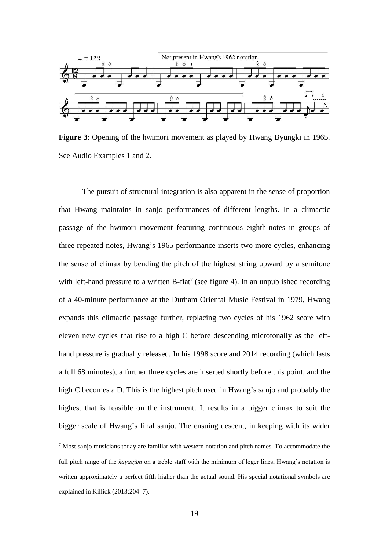

**Figure 3**: Opening of the hwimori movement as played by Hwang Byungki in 1965. See Audio Examples 1 and 2.

The pursuit of structural integration is also apparent in the sense of proportion that Hwang maintains in sanjo performances of different lengths. In a climactic passage of the hwimori movement featuring continuous eighth-notes in groups of three repeated notes, Hwang's 1965 performance inserts two more cycles, enhancing the sense of climax by bending the pitch of the highest string upward by a semitone with left-hand pressure to a written B-flat<sup>7</sup> (see figure 4). In an unpublished recording of a 40-minute performance at the Durham Oriental Music Festival in 1979, Hwang expands this climactic passage further, replacing two cycles of his 1962 score with eleven new cycles that rise to a high C before descending microtonally as the lefthand pressure is gradually released. In his 1998 score and 2014 recording (which lasts a full 68 minutes), a further three cycles are inserted shortly before this point, and the high C becomes a D. This is the highest pitch used in Hwang's sanjo and probably the highest that is feasible on the instrument. It results in a bigger climax to suit the bigger scale of Hwang's final sanjo. The ensuing descent, in keeping with its wider

<sup>&</sup>lt;u>.</u>  $<sup>7</sup>$  Most sanjo musicians today are familiar with western notation and pitch names. To accommodate the</sup> full pitch range of the *kayagǔm* on a treble staff with the minimum of leger lines, Hwang's notation is written approximately a perfect fifth higher than the actual sound. His special notational symbols are explained in Killick (2013:204–7).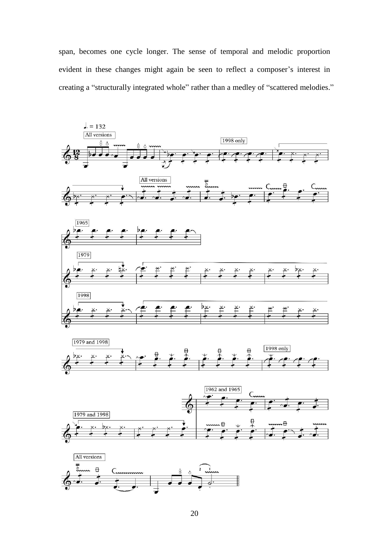span, becomes one cycle longer. The sense of temporal and melodic proportion evident in these changes might again be seen to reflect a composer's interest in creating a "structurally integrated whole" rather than a medley of "scattered melodies."

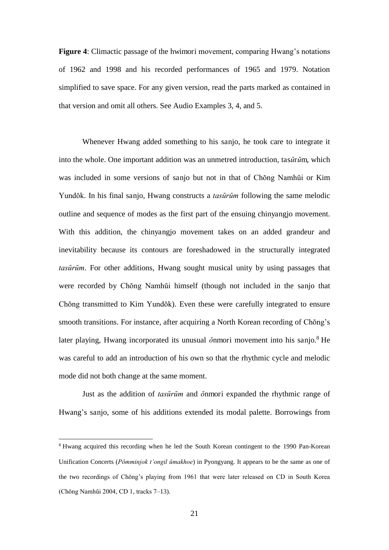**Figure 4**: Climactic passage of the hwimori movement, comparing Hwang's notations of 1962 and 1998 and his recorded performances of 1965 and 1979. Notation simplified to save space. For any given version, read the parts marked as contained in that version and omit all others. See Audio Examples 3, 4, and 5.

Whenever Hwang added something to his sanjo, he took care to integrate it into the whole. One important addition was an unmetred introduction, tas*i*n *u*m, which was included in some versions of sanjo but not in that of Chong Namhui or Kim Yundŏk. In his final sanjo, Hwang constructs a *tasŭrŭm* following the same melodic outline and sequence of modes as the first part of the ensuing chinyangjo movement. With this addition, the chinyangjo movement takes on an added grandeur and inevitability because its contours are foreshadowed in the structurally integrated *tasŭrŭm*. For other additions, Hwang sought musical unity by using passages that were recorded by Chong Namhūi himself (though not included in the sanjo that Chŏng transmitted to Kim Yundŏk). Even these were carefully integrated to ensure smooth transitions. For instance, after acquiring a North Korean recording of Chong's later playing, Hwang incorporated its unusual *ŏ*nmori movement into his sanjo.<sup>8</sup> He was careful to add an introduction of his own so that the rhythmic cycle and melodic mode did not both change at the same moment.

Just as the addition of *tasŭrŭm* and *ŏnmori* expanded the rhythmic range of Hwang's sanjo, some of his additions extended its modal palette. Borrowings from

<u>.</u>

<sup>&</sup>lt;sup>8</sup> Hwang acquired this recording when he led the South Korean contingent to the 1990 Pan-Korean Unification Concerts (*Pŏmminjok t'ongil ǔmakhoe*) in Pyongyang. It appears to be the same as one of the two recordings of Chŏng's playing from 1961 that were later released on CD in South Korea (Chŏng Namhŭi 2004, CD 1, tracks 7–13).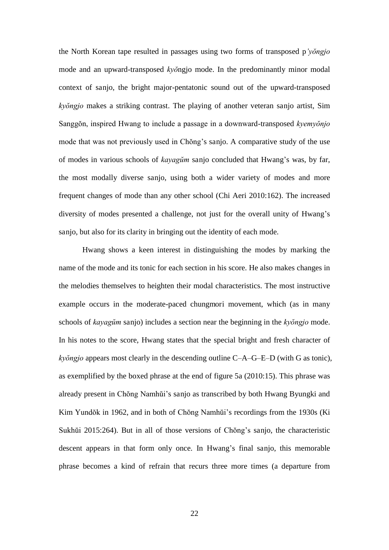the North Korean tape resulted in passages using two forms of transposed p'yongjo mode and an upward-transposed *ky*<sub>ongjo</sub> mode. In the predominantly minor modal context of sanjo, the bright major-pentatonic sound out of the upward-transposed *kyŏngjo* makes a striking contrast. The playing of another veteran sanjo artist, Sim Sanggŏn, inspired Hwang to include a passage in a downward-transposed *kyemyŏnjo* mode that was not previously used in Chŏng's sanjo. A comparative study of the use of modes in various schools of *kayagǔm* sanjo concluded that Hwang's was, by far, the most modally diverse sanjo, using both a wider variety of modes and more frequent changes of mode than any other school (Chi Aeri 2010:162). The increased diversity of modes presented a challenge, not just for the overall unity of Hwang's sanjo, but also for its clarity in bringing out the identity of each mode.

Hwang shows a keen interest in distinguishing the modes by marking the name of the mode and its tonic for each section in his score. He also makes changes in the melodies themselves to heighten their modal characteristics. The most instructive example occurs in the moderate-paced chungmori movement, which (as in many schools of *kayagǔm* sanjo) includes a section near the beginning in the *kyongjo* mode. In his notes to the score, Hwang states that the special bright and fresh character of *kyongjo* appears most clearly in the descending outline C–A–G–E–D (with G as tonic), as exemplified by the boxed phrase at the end of figure 5a (2010:15). This phrase was already present in Chŏng Namhŭi's sanjo as transcribed by both Hwang Byungki and Kim Yundŏk in 1962, and in both of Chŏng Namhŭi's recordings from the 1930s (Ki Sukh $\ddot{\rm u}$  2015:264). But in all of those versions of Ch $\ddot{\rm o}$  sanjo, the characteristic descent appears in that form only once. In Hwang's final sanjo, this memorable phrase becomes a kind of refrain that recurs three more times (a departure from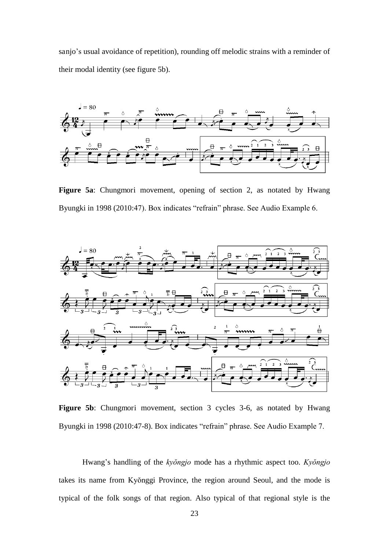sanjo's usual avoidance of repetition), rounding off melodic strains with a reminder of their modal identity (see figure 5b).



**Figure 5a**: Chungmori movement, opening of section 2, as notated by Hwang Byungki in 1998 (2010:47). Box indicates "refrain" phrase. See Audio Example 6.



Figure 5b: Chungmori movement, section 3 cycles 3-6, as notated by Hwang Byungki in 1998 (2010:47-8). Box indicates "refrain" phrase. See Audio Example 7.

Hwang's handling of the *kyŏngjo* mode has a rhythmic aspect too. *Kyŏngjo* takes its name from Kyŏnggi Province, the region around Seoul, and the mode is typical of the folk songs of that region. Also typical of that regional style is the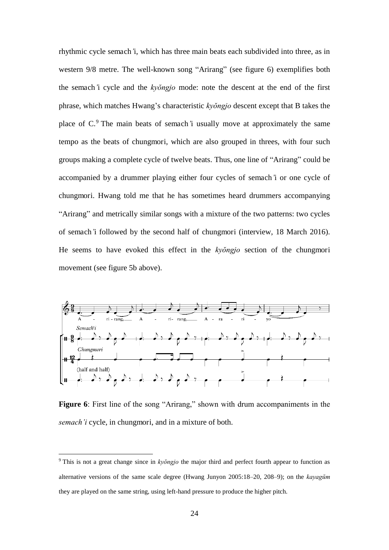rhythmic cycle semach*'*i, which has three main beats each subdivided into three, as in western 9/8 metre. The well-known song "Arirang" (see figure 6) exemplifies both the semach<sup>'</sup>i cycle and the *kyongjo* mode: note the descent at the end of the first phrase, which matches Hwang's characteristic *kyongjo* descent except that B takes the place of C.<sup>9</sup> The main beats of semach*'*i usually move at approximately the same tempo as the beats of chungmori, which are also grouped in threes, with four such groups making a complete cycle of twelve beats. Thus, one line of "Arirang" could be accompanied by a drummer playing either four cycles of semach*'*i or one cycle of chungmori. Hwang told me that he has sometimes heard drummers accompanying "Arirang" and metrically similar songs with a mixture of the two patterns: two cycles of semach*'*i followed by the second half of chungmori (interview, 18 March 2016). He seems to have evoked this effect in the *kyongjo* section of the chungmori movement (see figure 5b above).



**Figure 6**: First line of the song "Arirang," shown with drum accompaniments in the *semach'i* cycle, in chungmori, and in a mixture of both.

<u>.</u>

<sup>&</sup>lt;sup>9</sup> This is not a great change since in *kyŏngjo* the major third and perfect fourth appear to function as alternative versions of the same scale degree (Hwang Junyon 2005:18–20, 208–9); on the *kayag┥m* they are played on the same string, using left-hand pressure to produce the higher pitch.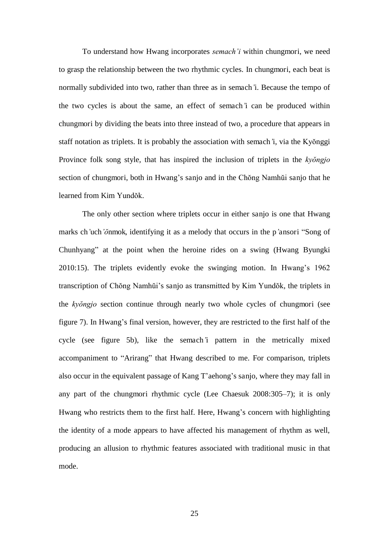To understand how Hwang incorporates *semach'i* within chungmori, we need to grasp the relationship between the two rhythmic cycles. In chungmori, each beat is normally subdivided into two, rather than three as in semach*'*i. Because the tempo of the two cycles is about the same, an effect of semach*'*i can be produced within chungmori by dividing the beats into three instead of two, a procedure that appears in staff notation as triplets. It is probably the association with semach <sup>'i</sup>, via the Kyonggi Province folk song style, that has inspired the inclusion of triplets in the *kyongjo* section of chungmori, both in Hwang's sanjo and in the Chong Namhui sanjo that he learned from Kim Yundŏk.

The only other section where triplets occur in either sanjo is one that Hwang marks ch'uch'ŏnmok, identifying it as a melody that occurs in the p'ansori "Song of Chunhyang" at the point when the heroine rides on a swing (Hwang Byungki 2010:15). The triplets evidently evoke the swinging motion. In Hwang's 1962 transcription of Chŏng Namhŭi's sanjo as transmitted by Kim Yundŏk, the triplets in the *kyongjo* section continue through nearly two whole cycles of chungmori (see figure 7). In Hwang's final version, however, they are restricted to the first half of the cycle (see figure 5b), like the semach*'*i pattern in the metrically mixed accompaniment to "Arirang" that Hwang described to me. For comparison, triplets also occur in the equivalent passage of Kang T'aehong's sanjo, where they may fall in any part of the chungmori rhythmic cycle (Lee Chaesuk 2008:305–7); it is only Hwang who restricts them to the first half. Here, Hwang's concern with highlighting the identity of a mode appears to have affected his management of rhythm as well, producing an allusion to rhythmic features associated with traditional music in that mode.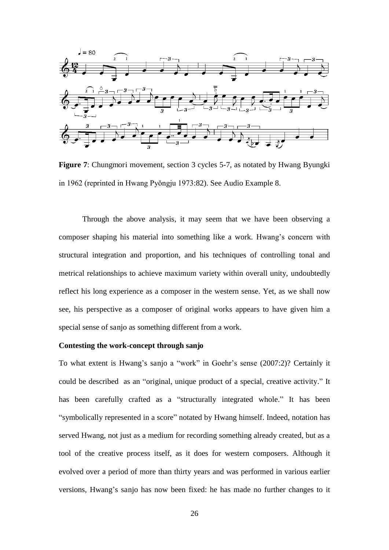

**Figure 7**: Chungmori movement, section 3 cycles 5-7, as notated by Hwang Byungki in 1962 (reprinted in Hwang Pyŏngju 1973:82). See Audio Example 8.

Through the above analysis, it may seem that we have been observing a composer shaping his material into something like a work. Hwang's concern with structural integration and proportion, and his techniques of controlling tonal and metrical relationships to achieve maximum variety within overall unity, undoubtedly reflect his long experience as a composer in the western sense. Yet, as we shall now see, his perspective as a composer of original works appears to have given him a special sense of sanjo as something different from a work.

## **Contesting the work-concept through sanjo**

To what extent is Hwang's sanjo a "work" in Goehr's sense (2007:2)? Certainly it could be described as an "original, unique product of a special, creative activity." It has been carefully crafted as a "structurally integrated whole." It has been "symbolically represented in a score" notated by Hwang himself. Indeed, notation has served Hwang, not just as a medium for recording something already created, but as a tool of the creative process itself, as it does for western composers. Although it evolved over a period of more than thirty years and was performed in various earlier versions, Hwang's sanjo has now been fixed: he has made no further changes to it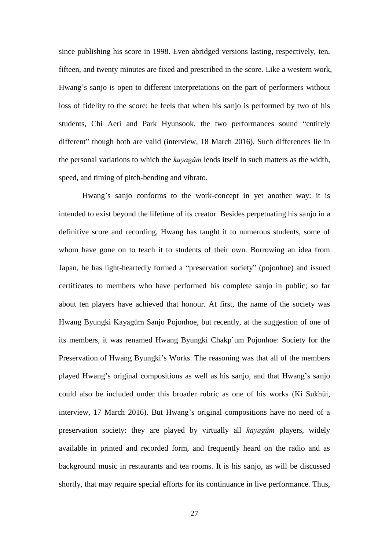since publishing his score in 1998. Even abridged versions lasting, respectively, ten, fifteen, and twenty minutes are fixed and prescribed in the score. Like a western work, Hwang's sanjo is open to different interpretations on the part of performers without loss of fidelity to the score: he feels that when his sanjo is performed by two of his students, Chi Aeri and Park Hyunsook, the two performances sound "entirely different" though both are valid (interview, 18 March 2016). Such differences lie in the personal variations to which the *kayagǔm* lends itself in such matters as the width, speed, and timing of pitch-bending and vibrato.

Hwang's sanjo conforms to the work-concept in yet another way: it is intended to exist beyond the lifetime of its creator. Besides perpetuating his sanjo in a definitive score and recording, Hwang has taught it to numerous students, some of whom have gone on to teach it to students of their own. Borrowing an idea from Japan, he has light-heartedly formed a "preservation society" (pojonhoe) and issued certificates to members who have performed his complete sanjo in public; so far about ten players have achieved that honour. At first, the name of the society was Hwang Byungki Kayagŭm Sanjo Pojonhoe, but recently, at the suggestion of one of its members, it was renamed Hwang Byungki Chakp'um Pojonhoe: Society for the Preservation of Hwang Byungki's Works. The reasoning was that all of the members played Hwang's original compositions as well as his sanjo, and that Hwang's sanjo could also be included under this broader rubric as one of his works (Ki Sukhūi, interview, 17 March 2016). But Hwang's original compositions have no need of a preservation society: they are played by virtually all *kayagǔm* players, widely available in printed and recorded form, and frequently heard on the radio and as background music in restaurants and tea rooms. It is his sanjo, as will be discussed shortly, that may require special efforts for its continuance in live performance. Thus,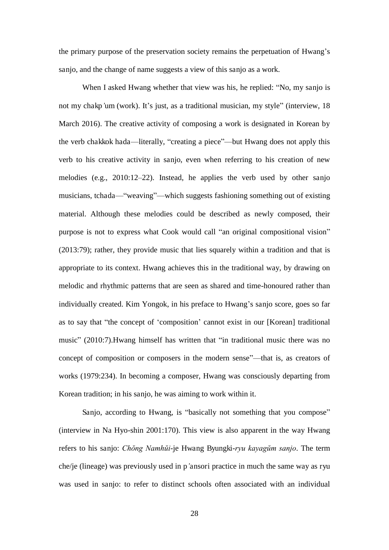the primary purpose of the preservation society remains the perpetuation of Hwang's sanjo, and the change of name suggests a view of this sanjo as a work.

When I asked Hwang whether that view was his, he replied: "No, my sanjo is not my chakp*'*um (work). It's just, as a traditional musician, my style" (interview, 18 March 2016). The creative activity of composing a work is designated in Korean by the verb chakkok hada—literally, "creating a piece"—but Hwang does not apply this verb to his creative activity in sanjo, even when referring to his creation of new melodies (e.g., 2010:12–22). Instead, he applies the verb used by other sanjo musicians, tchada—"weaving"—which suggests fashioning something out of existing material. Although these melodies could be described as newly composed, their purpose is not to express what Cook would call "an original compositional vision" (2013:79); rather, they provide music that lies squarely within a tradition and that is appropriate to its context. Hwang achieves this in the traditional way, by drawing on melodic and rhythmic patterns that are seen as shared and time-honoured rather than individually created. Kim Yongok, in his preface to Hwang's sanjo score, goes so far as to say that "the concept of 'composition' cannot exist in our [Korean] traditional music" (2010:7).Hwang himself has written that "in traditional music there was no concept of composition or composers in the modern sense"—that is, as creators of works (1979:234). In becoming a composer, Hwang was consciously departing from Korean tradition; in his sanjo, he was aiming to work within it.

Sanjo, according to Hwang, is "basically not something that you compose" (interview in Na Hyo-shin 2001:170). This view is also apparent in the way Hwang refers to his sanjo: *Chŏng Namhǔi*-je Hwang Byungki-ryu kayagǔm sanjo. The term che/je (lineage) was previously used in p*'*ansori practice in much the same way as ryu was used in sanjo: to refer to distinct schools often associated with an individual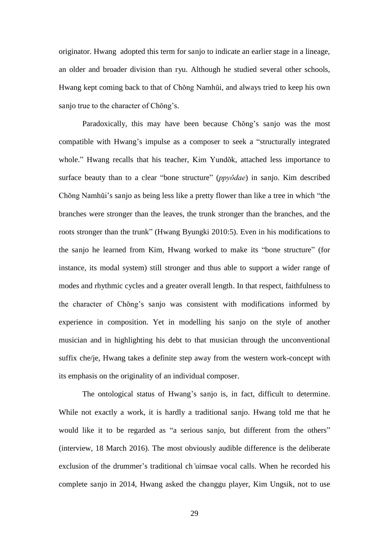originator. Hwang adopted this term for sanjo to indicate an earlier stage in a lineage, an older and broader division than ryu. Although he studied several other schools, Hwang kept coming back to that of Chŏng Namhŭi, and always tried to keep his own sanjo true to the character of Chŏng's.

Paradoxically, this may have been because Chong's sanjo was the most compatible with Hwang's impulse as a composer to seek a "structurally integrated whole." Hwang recalls that his teacher, Kim Yundŏk, attached less importance to surface beauty than to a clear "bone structure" (*ppyodae*) in sanjo. Kim described Chong Namhui's sanjo as being less like a pretty flower than like a tree in which "the branches were stronger than the leaves, the trunk stronger than the branches, and the roots stronger than the trunk" (Hwang Byungki 2010:5). Even in his modifications to the sanjo he learned from Kim, Hwang worked to make its "bone structure" (for instance, its modal system) still stronger and thus able to support a wider range of modes and rhythmic cycles and a greater overall length. In that respect, faithfulness to the character of Chŏng's sanjo was consistent with modifications informed by experience in composition. Yet in modelling his sanjo on the style of another musician and in highlighting his debt to that musician through the unconventional suffix che/je, Hwang takes a definite step away from the western work-concept with its emphasis on the originality of an individual composer.

The ontological status of Hwang's sanjo is, in fact, difficult to determine. While not exactly a work, it is hardly a traditional sanjo. Hwang told me that he would like it to be regarded as "a serious sanjo, but different from the others" (interview, 18 March 2016). The most obviously audible difference is the deliberate exclusion of the drummer's traditional ch*'*uimsae vocal calls. When he recorded his complete sanjo in 2014, Hwang asked the changgu player, Kim Ungsik, not to use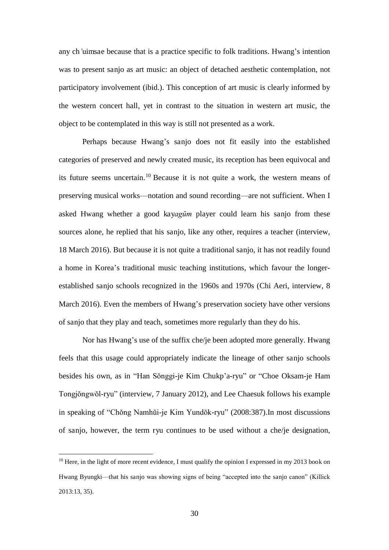any ch*'*uimsae because that is a practice specific to folk traditions. Hwang's intention was to present sanjo as art music: an object of detached aesthetic contemplation, not participatory involvement (ibid.). This conception of art music is clearly informed by the western concert hall, yet in contrast to the situation in western art music, the object to be contemplated in this way is still not presented as a work.

Perhaps because Hwang's sanjo does not fit easily into the established categories of preserved and newly created music, its reception has been equivocal and its future seems uncertain.<sup>10</sup> Because it is not quite a work, the western means of preserving musical works—notation and sound recording—are not sufficient. When I asked Hwang whether a good kay*agǔm* player could learn his sanjo from these sources alone, he replied that his sanjo, like any other, requires a teacher (interview, 18 March 2016). But because it is not quite a traditional sanjo, it has not readily found a home in Korea's traditional music teaching institutions, which favour the longerestablished sanjo schools recognized in the 1960s and 1970s (Chi Aeri, interview, 8 March 2016). Even the members of Hwang's preservation society have other versions of sanjo that they play and teach, sometimes more regularly than they do his.

Nor has Hwang's use of the suffix che/je been adopted more generally. Hwang feels that this usage could appropriately indicate the lineage of other sanjo schools besides his own, as in "Han Sŏnggi-je Kim Chukp'a-ryu" or "Choe Oksam-je Ham Tongjŏngwŏl-ryu" (interview, 7 January 2012), and Lee Chaesuk follows his example in speaking of "Chŏng Namhŭi-je Kim Yundŏk-ryu" (2008:387).In most discussions of sanjo, however, the term ryu continues to be used without a che/je designation,

<u>.</u>

 $10$  Here, in the light of more recent evidence, I must qualify the opinion I expressed in my 2013 book on Hwang Byungki—that his sanjo was showing signs of being "accepted into the sanjo canon" (Killick 2013:13, 35).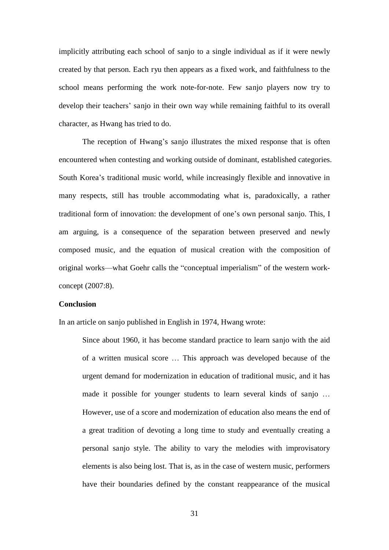implicitly attributing each school of sanjo to a single individual as if it were newly created by that person. Each ryu then appears as a fixed work, and faithfulness to the school means performing the work note-for-note. Few sanjo players now try to develop their teachers' sanjo in their own way while remaining faithful to its overall character, as Hwang has tried to do.

The reception of Hwang's sanjo illustrates the mixed response that is often encountered when contesting and working outside of dominant, established categories. South Korea's traditional music world, while increasingly flexible and innovative in many respects, still has trouble accommodating what is, paradoxically, a rather traditional form of innovation: the development of one's own personal sanjo. This, I am arguing, is a consequence of the separation between preserved and newly composed music, and the equation of musical creation with the composition of original works—what Goehr calls the "conceptual imperialism" of the western workconcept (2007:8).

#### **Conclusion**

In an article on sanjo published in English in 1974, Hwang wrote:

Since about 1960, it has become standard practice to learn sanjo with the aid of a written musical score … This approach was developed because of the urgent demand for modernization in education of traditional music, and it has made it possible for younger students to learn several kinds of sanjo … However, use of a score and modernization of education also means the end of a great tradition of devoting a long time to study and eventually creating a personal sanjo style. The ability to vary the melodies with improvisatory elements is also being lost. That is, as in the case of western music, performers have their boundaries defined by the constant reappearance of the musical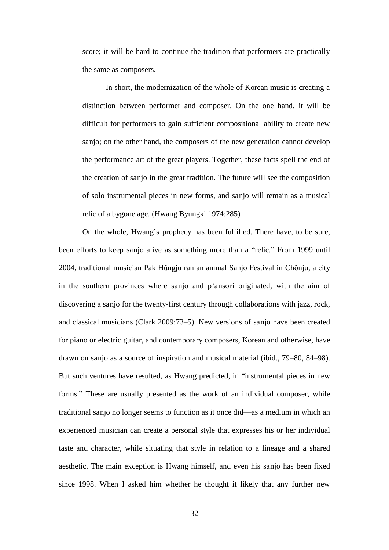score; it will be hard to continue the tradition that performers are practically the same as composers.

In short, the modernization of the whole of Korean music is creating a distinction between performer and composer. On the one hand, it will be difficult for performers to gain sufficient compositional ability to create new sanjo; on the other hand, the composers of the new generation cannot develop the performance art of the great players. Together, these facts spell the end of the creation of sanjo in the great tradition. The future will see the composition of solo instrumental pieces in new forms, and sanjo will remain as a musical relic of a bygone age. (Hwang Byungki 1974:285)

On the whole, Hwang's prophecy has been fulfilled. There have, to be sure, been efforts to keep sanjo alive as something more than a "relic." From 1999 until 2004, traditional musician Pak Hŭngju ran an annual Sanjo Festival in Chŏnju, a city in the southern provinces where sanjo and p*'*ansori originated, with the aim of discovering a sanjo for the twenty-first century through collaborations with jazz, rock, and classical musicians (Clark 2009:73–5). New versions of sanjo have been created for piano or electric guitar, and contemporary composers, Korean and otherwise, have drawn on sanjo as a source of inspiration and musical material (ibid., 79–80, 84–98). But such ventures have resulted, as Hwang predicted, in "instrumental pieces in new forms." These are usually presented as the work of an individual composer, while traditional sanjo no longer seems to function as it once did—as a medium in which an experienced musician can create a personal style that expresses his or her individual taste and character, while situating that style in relation to a lineage and a shared aesthetic. The main exception is Hwang himself, and even his sanjo has been fixed since 1998. When I asked him whether he thought it likely that any further new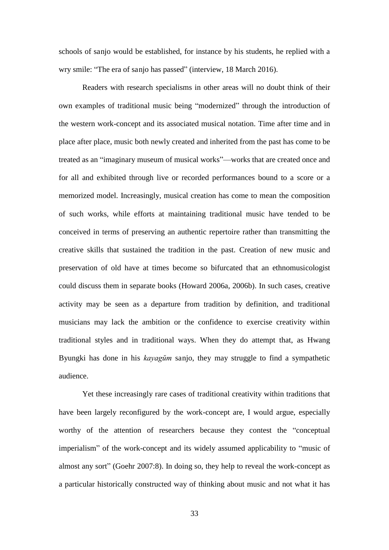schools of sanjo would be established, for instance by his students, he replied with a wry smile: "The era of sanjo has passed" (interview, 18 March 2016).

Readers with research specialisms in other areas will no doubt think of their own examples of traditional music being "modernized" through the introduction of the western work-concept and its associated musical notation. Time after time and in place after place, music both newly created and inherited from the past has come to be treated as an "imaginary museum of musical works"—works that are created once and for all and exhibited through live or recorded performances bound to a score or a memorized model. Increasingly, musical creation has come to mean the composition of such works, while efforts at maintaining traditional music have tended to be conceived in terms of preserving an authentic repertoire rather than transmitting the creative skills that sustained the tradition in the past. Creation of new music and preservation of old have at times become so bifurcated that an ethnomusicologist could discuss them in separate books (Howard 2006a, 2006b). In such cases, creative activity may be seen as a departure from tradition by definition, and traditional musicians may lack the ambition or the confidence to exercise creativity within traditional styles and in traditional ways. When they do attempt that, as Hwang Byungki has done in his *kayagǔm* sanjo, they may struggle to find a sympathetic audience.

Yet these increasingly rare cases of traditional creativity within traditions that have been largely reconfigured by the work-concept are, I would argue, especially worthy of the attention of researchers because they contest the "conceptual imperialism" of the work-concept and its widely assumed applicability to "music of almost any sort" (Goehr 2007:8). In doing so, they help to reveal the work-concept as a particular historically constructed way of thinking about music and not what it has

33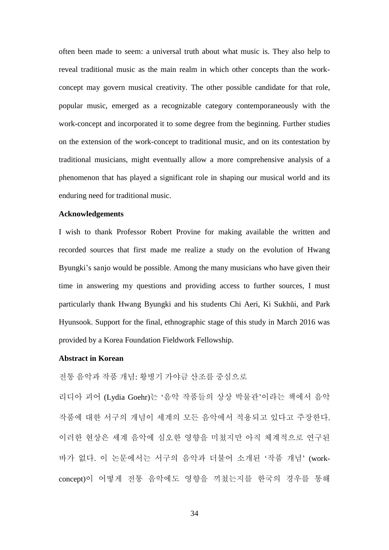often been made to seem: a universal truth about what music is. They also help to reveal traditional music as the main realm in which other concepts than the workconcept may govern musical creativity. The other possible candidate for that role, popular music, emerged as a recognizable category contemporaneously with the work-concept and incorporated it to some degree from the beginning. Further studies on the extension of the work-concept to traditional music, and on its contestation by traditional musicians, might eventually allow a more comprehensive analysis of a phenomenon that has played a significant role in shaping our musical world and its enduring need for traditional music.

#### **Acknowledgements**

I wish to thank Professor Robert Provine for making available the written and recorded sources that first made me realize a study on the evolution of Hwang Byungki's sanjo would be possible. Among the many musicians who have given their time in answering my questions and providing access to further sources, I must particularly thank Hwang Byungki and his students Chi Aeri, Ki Sukhŭi, and Park Hyunsook. Support for the final, ethnographic stage of this study in March 2016 was provided by a Korea Foundation Fieldwork Fellowship.

#### **Abstract in Korean**

저통 음악과 작품 개념: 황병기 가야금 산조를 중심으로

리디아 괴어 (Lydia Goehr)는 '음악 작품들의 상상 박물관'이라는 책에서 음악 작품에 대한 서구의 개념이 세계의 모든 음악에서 적용되고 있다고 주장한다. 이러한 현상은 세계 음악에 심오한 영향을 미쳤지만 아직 체계적으로 연구된 바가 없다. 이 논문에서는 서구의 음악과 더불어 소개된 '작품 개념' (workconcept)이 어떻게 전통 음악에도 영향을 끼쳤는지를 한국의 경우를 통해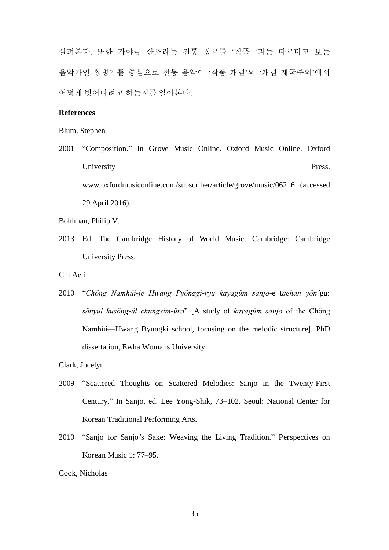살펴본다. 또한 가야금 산조라는 전통 장르를 '작품 '과는 다르다고 보는 음악가인 홧병기를 중심으로 전통 음악이 '작품 개념'의 '개념 제국주의'에서 어떻게 벗어나려고 하는지를 알아본다.

# **References**

### Blum, Stephen

2001 "Composition." In Grove Music Online. Oxford Music Online. Oxford University Press. www.oxfordmusiconline.com/subscriber/article/grove/music/06216 (accessed 29 April 2016).

Bohlman, Philip V.

- 2013 Ed. The Cambridge History of World Music. Cambridge: Cambridge University Press.
- Chi Aeri
- 2010 "Chŏng Namhŭi-je Hwang Pyŏnggi-ryu kayagŭm sanjo-e taehan yŏn'gu: *sŏnyul kusŏng-ŭl chungsim-ŭro*" [A study of *kayagŭm sanjo* of the Chŏng Namhŭi—Hwang Byungki school, focusing on the melodic structure]. PhD dissertation, Ewha Womans University.

Clark, Jocelyn

- 2009 "Scattered Thoughts on Scattered Melodies: Sanjo in the Twenty-First Century." In Sanjo, ed. Lee Yong-Shik, 73–102. Seoul: National Center for Korean Traditional Performing Arts.
- 2010 "Sanjo for Sanjo*'*s Sake: Weaving the Living Tradition." Perspectives on Korean Music 1: 77–95.

Cook, Nicholas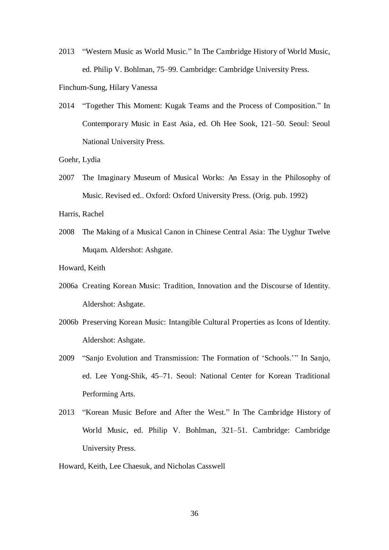2013 "Western Music as World Music." In The Cambridge History of World Music, ed. Philip V. Bohlman, 75–99. Cambridge: Cambridge University Press.

Finchum-Sung, Hilary Vanessa

2014 "Together This Moment: Kugak Teams and the Process of Composition." In Contemporary Music in East Asia, ed. Oh Hee Sook, 121–50. Seoul: Seoul National University Press.

Goehr, Lydia

2007 The Imaginary Museum of Musical Works: An Essay in the Philosophy of Music. Revised ed.. Oxford: Oxford University Press. (Orig. pub. 1992)

Harris, Rachel

2008 The Making of a Musical Canon in Chinese Central Asia: The Uyghur Twelve Muqam. Aldershot: Ashgate.

Howard, Keith

- 2006a Creating Korean Music: Tradition, Innovation and the Discourse of Identity. Aldershot: Ashgate.
- 2006b Preserving Korean Music: Intangible Cultural Properties as Icons of Identity. Aldershot: Ashgate.
- 2009 "Sanjo Evolution and Transmission: The Formation of 'Schools.'" In Sanjo, ed. Lee Yong-Shik, 45–71. Seoul: National Center for Korean Traditional Performing Arts.
- 2013 "Korean Music Before and After the West." In The Cambridge History of World Music, ed. Philip V. Bohlman, 321–51. Cambridge: Cambridge University Press.
- Howard, Keith, Lee Chaesuk, and Nicholas Casswell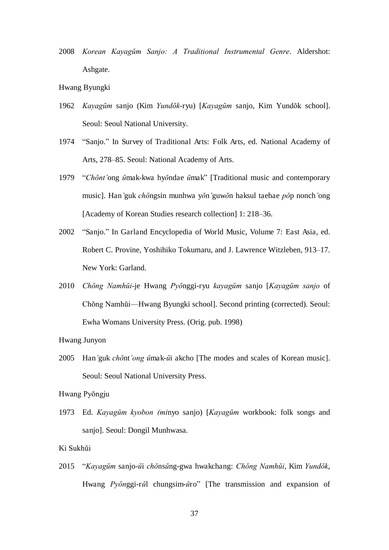2008 *Korean Kayag┥m Sanjo: A Traditional Instrumental Genre*. Aldershot: Ashgate.

# Hwang Byungki

- 1962 *Kayagǔm* sanjo (Kim *Yundŏk-ryu)* [*Kayagǔm* sanjo, Kim Yundŏk school]. Seoul: Seoul National University.
- 1974 "Sanjo." In Survey of Traditional Arts: Folk Arts, ed. National Academy of Arts, 278–85. Seoul: National Academy of Arts.
- 1979 "*Chŏnt'ong ŭmak-kwa hyŏndae ŭmak*" [Traditional music and contemporary music]. Han*'*guk *ch┙*ngsin munhwa y*┙*n*'*guw*┙*n haksul taehae *p┙*p nonch*'*ong [Academy of Korean Studies research collection] 1: 218–36.
- 2002 "Sanjo." In Garland Encyclopedia of World Music, Volume 7: East Asia, ed. Robert C. Provine, Yoshihiko Tokumaru, and J. Lawrence Witzleben, 913–17. New York: Garland.
- 2010 *Ch┙ng Namh┥i*-je Hwang *Py┙*nggi-ryu *kayag┥m* sanjo [*Kayag┥m sanjo* of Chŏng Namhŭi—Hwang Byungki school]. Second printing (corrected). Seoul: Ewha Womans University Press. (Orig. pub. 1998)

# Hwang Junyon

2005 Han'guk *chŏnt'ong ǔmak-ǔi akcho* [The modes and scales of Korean music]. Seoul: Seoul National University Press.

### Hwang Pyŏngju

1973 Ed. *Kayagǔm kyobon (minyo sanjo) [Kayagǔm workbook: folk songs and* sanjo]. Seoul: Dongil Munhwasa.

# Ki Sukhŭi

2015 "*Kayag┥m* sanjo-*┥*i *ch┙*ns*┥*ng-gwa hwakchang: *Ch┙ng Namh┥i*, Kim *Yund┙k*, Hwang *Pyŏnggi-rŭl* chungsim-*ŭro*" [The transmission and expansion of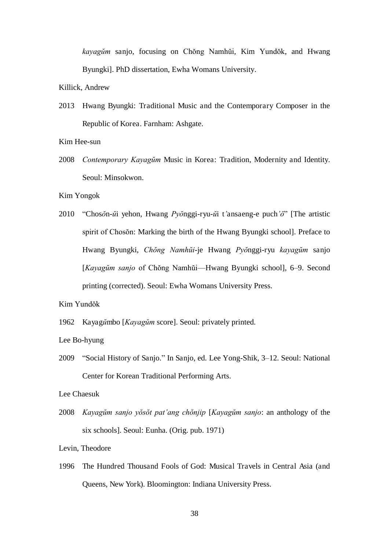*kayagǔm* sanjo, focusing on Chŏng Namhǔi, Kim Yundŏk, and Hwang Byungki]. PhD dissertation, Ewha Womans University.

## Killick, Andrew

2013 Hwang Byungki: Traditional Music and the Contemporary Composer in the Republic of Korea. Farnham: Ashgate.

Kim Hee-sun

2008 *Contemporary Kayag┥m* Music in Korea: Tradition, Modernity and Identity. Seoul: Minsokwon.

### Kim Yongok

2010 "Chos*ŏ*n-*ŭ*i yehon, Hwang *Pyŏnggi-ryu-ŭi t'ansaeng-e puch'ŏ*" [The artistic spirit of Chosŏn: Marking the birth of the Hwang Byungki school]. Preface to Hwang Byungki, *Chŏng Namhǔi-je Hwang Pyŏnggi-ryu kayagǔm* sanjo [*Kayagǔm sanjo* of Chŏng Namhǔi—Hwang Byungki school], 6–9. Second printing (corrected). Seoul: Ewha Womans University Press.

Kim Yundŏk

1962 Kayag*ŭmbo [Kayagŭm score]*. Seoul: privately printed.

Lee Bo-hyung

2009 "Social History of Sanjo." In Sanjo, ed. Lee Yong-Shik, 3–12. Seoul: National Center for Korean Traditional Performing Arts.

Lee Chaesuk

2008 *Kayag┥m sanjo y┙s┙t pat'ang ch┙njip* [*Kayag┥m sanjo*: an anthology of the six schools]. Seoul: Eunha. (Orig. pub. 1971)

Levin, Theodore

1996 The Hundred Thousand Fools of God: Musical Travels in Central Asia (and Queens, New York). Bloomington: Indiana University Press.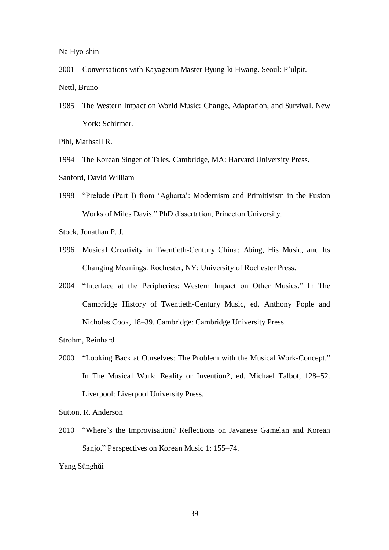Na Hyo-shin

- 2001 Conversations with Kayageum Master Byung-ki Hwang. Seoul: P'ulpit. Nettl, Bruno
- 1985 The Western Impact on World Music: Change, Adaptation, and Survival. New York: Schirmer.

Pihl, Marhsall R.

- 1994 The Korean Singer of Tales. Cambridge, MA: Harvard University Press. Sanford, David William
- 1998 "Prelude (Part I) from 'Agharta': Modernism and Primitivism in the Fusion Works of Miles Davis." PhD dissertation, Princeton University.
- Stock, Jonathan P. J.
- 1996 Musical Creativity in Twentieth-Century China: Abing, His Music, and Its Changing Meanings. Rochester, NY: University of Rochester Press.
- 2004 "Interface at the Peripheries: Western Impact on Other Musics." In The Cambridge History of Twentieth-Century Music, ed. Anthony Pople and Nicholas Cook, 18–39. Cambridge: Cambridge University Press.

Strohm, Reinhard

2000 "Looking Back at Ourselves: The Problem with the Musical Work-Concept." In The Musical Work: Reality or Invention?, ed. Michael Talbot, 128–52. Liverpool: Liverpool University Press.

Sutton, R. Anderson

2010 "Where's the Improvisation? Reflections on Javanese Gamelan and Korean Sanjo." Perspectives on Korean Music 1: 155–74.

Yang Sŭnghŭi